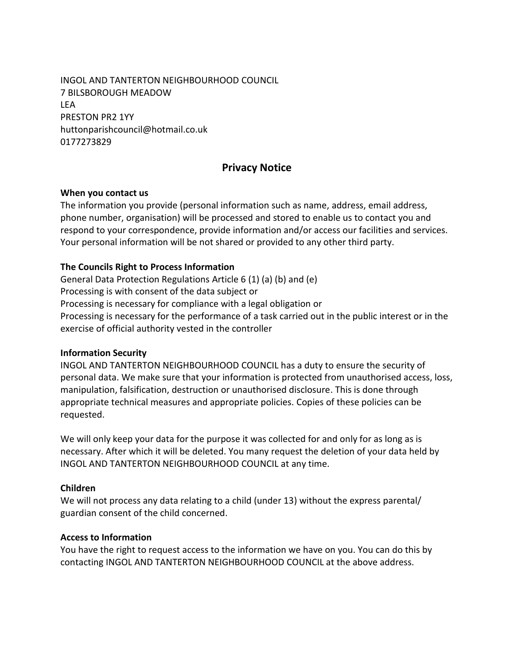INGOL AND TANTERTON NEIGHBOURHOOD COUNCIL 7 BILSBOROUGH MEADOW LEA PRESTON PR2 1YY huttonparishcouncil@hotmail.co.uk 0177273829

# **Privacy Notice**

### **When you contact us**

The information you provide (personal information such as name, address, email address, phone number, organisation) will be processed and stored to enable us to contact you and respond to your correspondence, provide information and/or access our facilities and services. Your personal information will be not shared or provided to any other third party.

### **The Councils Right to Process Information**

General Data Protection Regulations Article 6 (1) (a) (b) and (e) Processing is with consent of the data subject or Processing is necessary for compliance with a legal obligation or Processing is necessary for the performance of a task carried out in the public interest or in the exercise of official authority vested in the controller

### **Information Security**

INGOL AND TANTERTON NEIGHBOURHOOD COUNCIL has a duty to ensure the security of personal data. We make sure that your information is protected from unauthorised access, loss, manipulation, falsification, destruction or unauthorised disclosure. This is done through appropriate technical measures and appropriate policies. Copies of these policies can be requested.

We will only keep your data for the purpose it was collected for and only for as long as is necessary. After which it will be deleted. You many request the deletion of your data held by INGOL AND TANTERTON NEIGHBOURHOOD COUNCIL at any time.

### **Children**

We will not process any data relating to a child (under 13) without the express parental/ guardian consent of the child concerned.

### **Access to Information**

You have the right to request access to the information we have on you. You can do this by contacting INGOL AND TANTERTON NEIGHBOURHOOD COUNCIL at the above address.